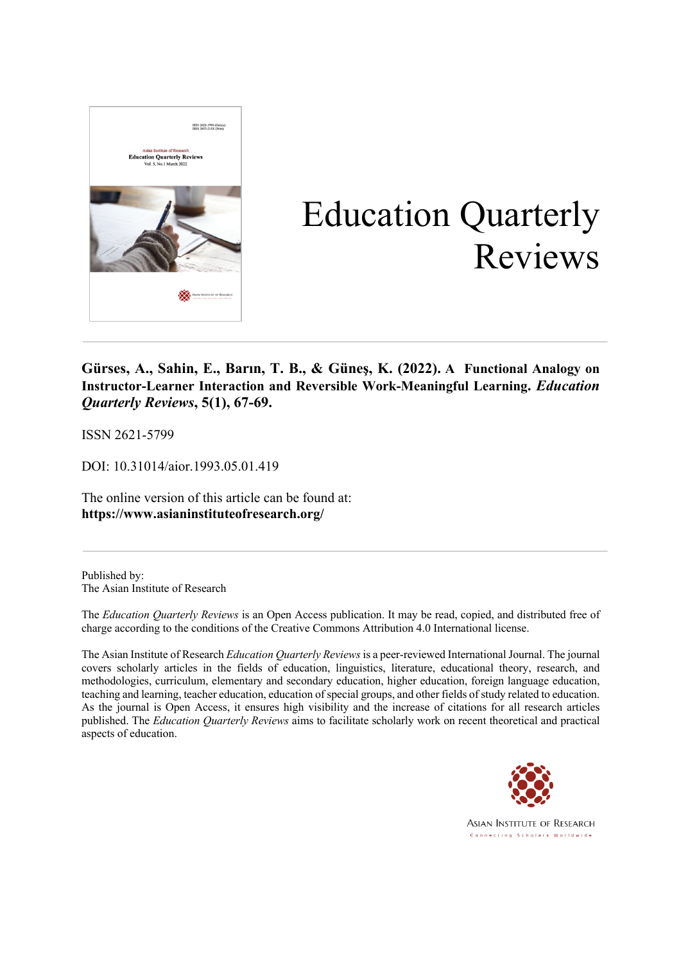

# Education Quarterly Reviews

**Gürses, A., Sahin, E., Barın, T. B., & Güneş, K. (2022). A Functional Analogy on Instructor-Learner Interaction and Reversible Work-Meaningful Learning.** *Education Quarterly Reviews***, 5(1), 67-69.**

ISSN 2621-5799

DOI: 10.31014/aior.1993.05.01.419

The online version of this article can be found at: **https://www.asianinstituteofresearch.org/**

Published by: The Asian Institute of Research

The *Education Quarterly Reviews* is an Open Access publication. It may be read, copied, and distributed free of charge according to the conditions of the Creative Commons Attribution 4.0 International license.

The Asian Institute of Research *Education Quarterly Reviews* is a peer-reviewed International Journal. The journal covers scholarly articles in the fields of education, linguistics, literature, educational theory, research, and methodologies, curriculum, elementary and secondary education, higher education, foreign language education, teaching and learning, teacher education, education of special groups, and other fields of study related to education. As the journal is Open Access, it ensures high visibility and the increase of citations for all research articles published. The *Education Quarterly Reviews* aims to facilitate scholarly work on recent theoretical and practical aspects of education.



**ASIAN INSTITUTE OF RESEARCH** Connecting Scholars Worldwide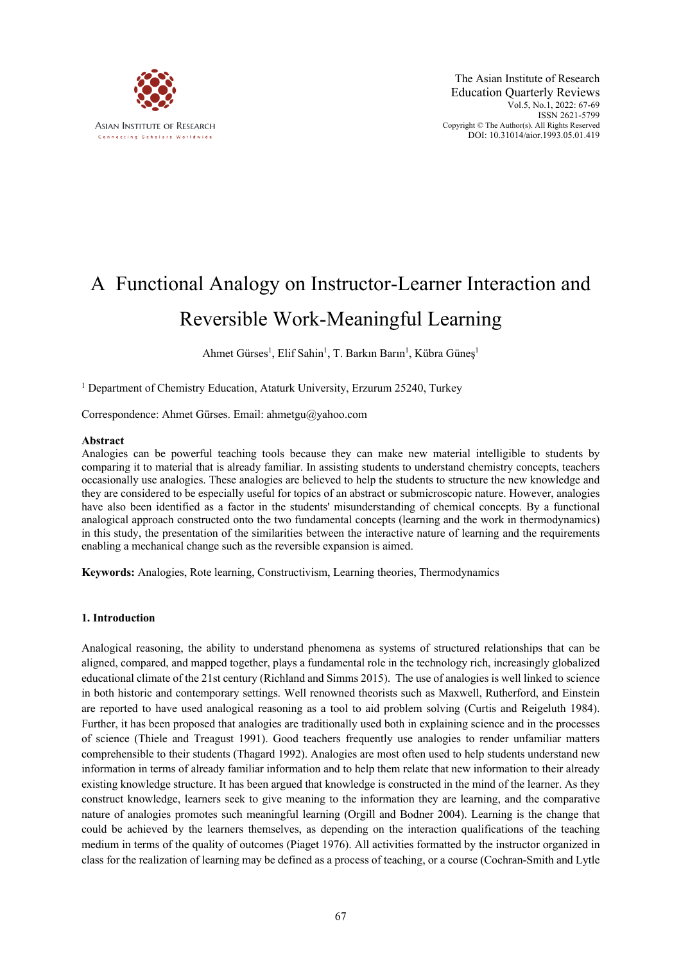

# A Functional Analogy on Instructor-Learner Interaction and Reversible Work-Meaningful Learning

Ahmet Gürses<sup>1</sup>, Elif Sahin<sup>1</sup>, T. Barkın Barın<sup>1</sup>, Kübra Güneş<sup>1</sup>

<sup>1</sup> Department of Chemistry Education, Ataturk University, Erzurum 25240, Turkey

Correspondence: Ahmet Gürses. Email: ahmetgu@yahoo.com

## **Abstract**

Analogies can be powerful teaching tools because they can make new material intelligible to students by comparing it to material that is already familiar. In assisting students to understand chemistry concepts, teachers occasionally use analogies. These analogies are believed to help the students to structure the new knowledge and they are considered to be especially useful for topics of an abstract or submicroscopic nature. However, analogies have also been identified as a factor in the students' misunderstanding of chemical concepts. By a functional analogical approach constructed onto the two fundamental concepts (learning and the work in thermodynamics) in this study, the presentation of the similarities between the interactive nature of learning and the requirements enabling a mechanical change such as the reversible expansion is aimed.

**Keywords:** Analogies, Rote learning, Constructivism, Learning theories, Thermodynamics

#### **1. Introduction**

Analogical reasoning, the ability to understand phenomena as systems of structured relationships that can be aligned, compared, and mapped together, plays a fundamental role in the technology rich, increasingly globalized educational climate of the 21st century (Richland and Simms 2015). The use of analogies is well linked to science in both historic and contemporary settings. Well renowned theorists such as Maxwell, Rutherford, and Einstein are reported to have used analogical reasoning as a tool to aid problem solving (Curtis and Reigeluth 1984). Further, it has been proposed that analogies are traditionally used both in explaining science and in the processes of science (Thiele and Treagust 1991). Good teachers frequently use analogies to render unfamiliar matters comprehensible to their students (Thagard 1992). Analogies are most often used to help students understand new information in terms of already familiar information and to help them relate that new information to their already existing knowledge structure. It has been argued that knowledge is constructed in the mind of the learner. As they construct knowledge, learners seek to give meaning to the information they are learning, and the comparative nature of analogies promotes such meaningful learning (Orgill and Bodner 2004). Learning is the change that could be achieved by the learners themselves, as depending on the interaction qualifications of the teaching medium in terms of the quality of outcomes (Piaget 1976). All activities formatted by the instructor organized in class for the realization of learning may be defined as a process of teaching, or a course (Cochran-Smith and Lytle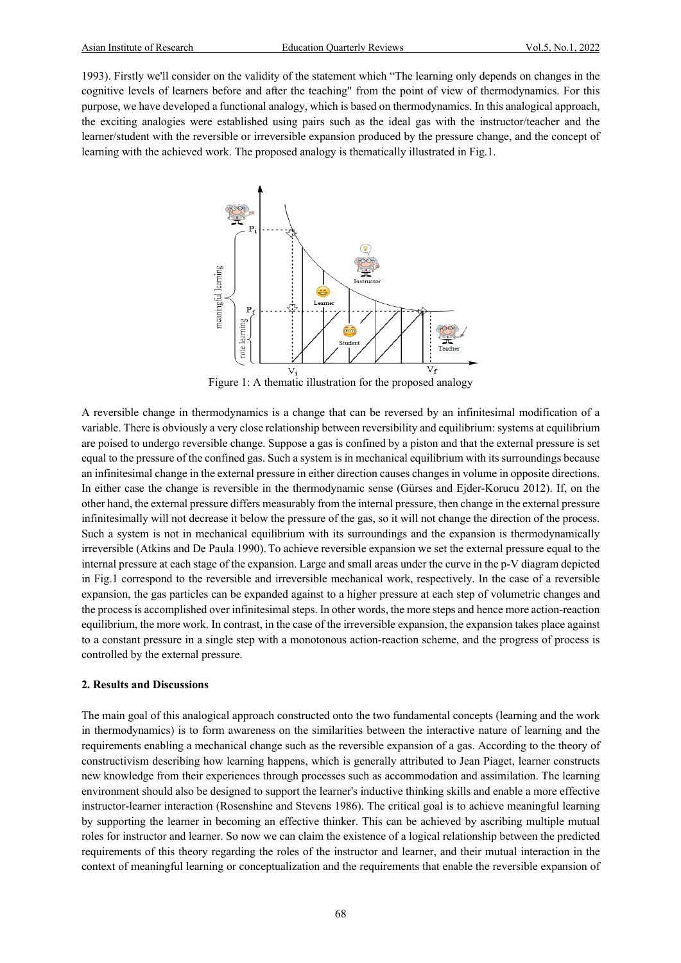1993). Firstly we'll consider on the validity of the statement which "The learning only depends on changes in the cognitive levels of learners before and after the teaching" from the point of view of thermodynamics. For this purpose, we have developed a functional analogy, which is based on thermodynamics. In this analogical approach, the exciting analogies were established using pairs such as the ideal gas with the instructor/teacher and the learner/student with the reversible or irreversible expansion produced by the pressure change, and the concept of learning with the achieved work. The proposed analogy is thematically illustrated in Fig.1.



Figure 1: A thematic illustration for the proposed analogy

A reversible change in thermodynamics is a change that can be reversed by an infinitesimal modification of a variable. There is obviously a very close relationship between reversibility and equilibrium: systems at equilibrium are poised to undergo reversible change. Suppose a gas is confined by a piston and that the external pressure is set equal to the pressure of the confined gas. Such a system is in mechanical equilibrium with its surroundings because an infinitesimal change in the external pressure in either direction causes changes in volume in opposite directions. In either case the change is reversible in the thermodynamic sense (Gürses and Ejder-Korucu 2012). If, on the other hand, the external pressure differs measurably from the internal pressure, then change in the external pressure infinitesimally will not decrease it below the pressure of the gas, so it will not change the direction of the process. Such a system is not in mechanical equilibrium with its surroundings and the expansion is thermodynamically irreversible (Atkins and De Paula 1990). To achieve reversible expansion we set the external pressure equal to the internal pressure at each stage of the expansion. Large and small areas under the curve in the p-V diagram depicted in Fig.1 correspond to the reversible and irreversible mechanical work, respectively. In the case of a reversible expansion, the gas particles can be expanded against to a higher pressure at each step of volumetric changes and the process is accomplished over infinitesimal steps. In other words, the more steps and hence more action-reaction equilibrium, the more work. In contrast, in the case of the irreversible expansion, the expansion takes place against to a constant pressure in a single step with a monotonous action-reaction scheme, and the progress of process is controlled by the external pressure.

# **2. Results and Discussions**

The main goal of this analogical approach constructed onto the two fundamental concepts (learning and the work in thermodynamics) is to form awareness on the similarities between the interactive nature of learning and the requirements enabling a mechanical change such as the reversible expansion of a gas. According to the theory of constructivism describing how learning happens, which is generally attributed to Jean Piaget, learner constructs new knowledge from their experiences through processes such as accommodation and assimilation. The learning environment should also be designed to support the learner's inductive thinking skills and enable a more effective instructor-learner interaction (Rosenshine and Stevens 1986). The critical goal is to achieve meaningful learning by supporting the learner in becoming an effective thinker. This can be achieved by ascribing multiple mutual roles for instructor and learner. So now we can claim the existence of a logical relationship between the predicted requirements of this theory regarding the roles of the instructor and learner, and their mutual interaction in the context of meaningful learning or conceptualization and the requirements that enable the reversible expansion of